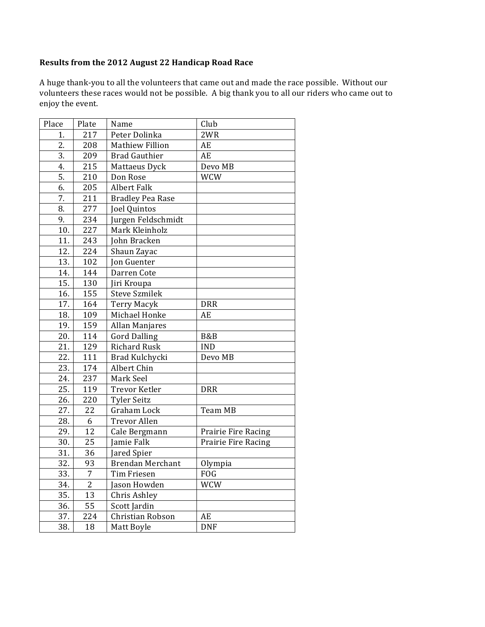## **Results from the 2012 August 22 Handicap Road Race**

A huge thank-you to all the volunteers that came out and made the race possible. Without our volunteers these races would not be possible. A big thank you to all our riders who came out to enjoy the event.

| Place | Plate           | Name                    | Club                |
|-------|-----------------|-------------------------|---------------------|
| 1.    | 217             | Peter Dolinka           | 2WR                 |
| 2.    | 208             | <b>Mathiew Fillion</b>  | AE                  |
| 3.    | 209             | <b>Brad Gauthier</b>    | AE                  |
| 4.    | 215             | Mattaeus Dyck           | Devo MB             |
| 5.    | 210             | Don Rose                | <b>WCW</b>          |
| 6.    | 205             | <b>Albert Falk</b>      |                     |
| 7.    | 211             | <b>Bradley Pea Rase</b> |                     |
| 8.    | 277             | Joel Quintos            |                     |
| 9.    | 234             | Jurgen Feldschmidt      |                     |
| 10.   | 227             | Mark Kleinholz          |                     |
| 11.   | 243             | John Bracken            |                     |
| 12.   | 224             | Shaun Zayac             |                     |
| 13.   | 102             | <b>Jon Guenter</b>      |                     |
| 14.   | 144             | Darren Cote             |                     |
| 15.   | 130             | Jiri Kroupa             |                     |
| 16.   | 155             | <b>Steve Szmilek</b>    |                     |
| 17.   | 164             | <b>Terry Macyk</b>      | <b>DRR</b>          |
| 18.   | 109             | Michael Honke           | AE                  |
| 19.   | 159             | Allan Manjares          |                     |
| 20.   | 114             | <b>Gord Dalling</b>     | B&B                 |
| 21.   | 129             | <b>Richard Rusk</b>     | <b>IND</b>          |
| 22.   | 111             | Brad Kulchycki          | Devo MB             |
| 23.   | 174             | Albert Chin             |                     |
| 24.   | 237             | Mark Seel               |                     |
| 25.   | 119             | <b>Trevor Ketler</b>    | <b>DRR</b>          |
| 26.   | 220             | <b>Tyler Seitz</b>      |                     |
| 27.   | 22              | Graham Lock             | Team MB             |
| 28.   | 6               | <b>Trevor Allen</b>     |                     |
| 29.   | 12              | Cale Bergmann           | Prairie Fire Racing |
| 30.   | 25              | Jamie Falk              | Prairie Fire Racing |
| 31.   | 36              | Jared Spier             |                     |
| 32.   | 93              | <b>Brendan Merchant</b> | Olympia             |
| 33.   | $\overline{7}$  | Tim Friesen             | <b>FOG</b>          |
| 34.   | $\overline{2}$  | Jason Howden            | <b>WCW</b>          |
| 35.   | 13              | Chris Ashley            |                     |
| 36.   | $\overline{55}$ | Scott Jardin            |                     |
| 37.   | 224             | Christian Robson        | AE                  |
| 38.   | 18              | Matt Boyle              | <b>DNF</b>          |